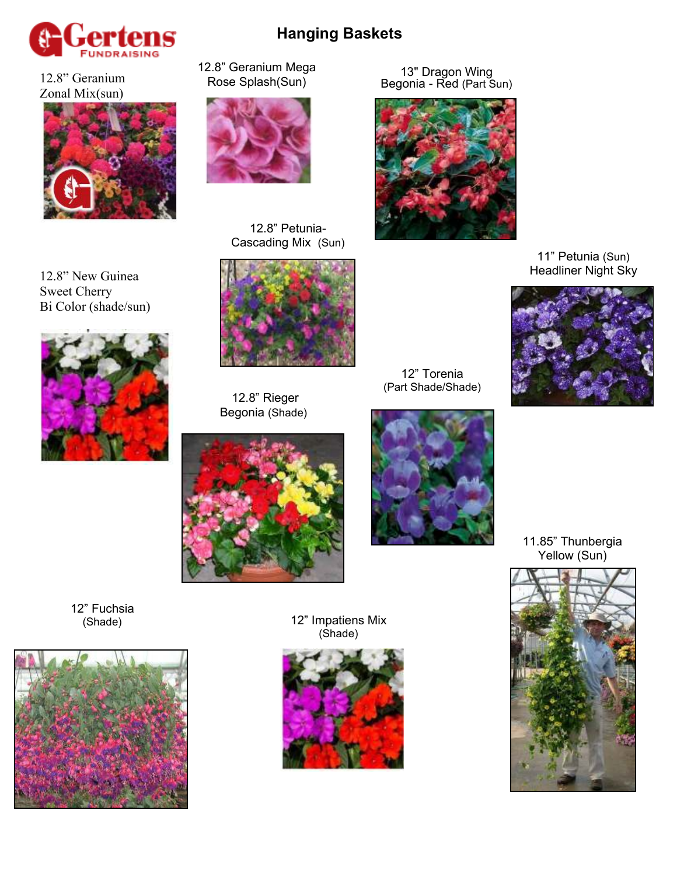

12.8" Geranium Zonal Mix(sun)



12.8" New Guinea Sweet Cherry Bi Color (shade/sun)



12.8" Geranium Mega Rose Splash(Sun)



12.8" Petunia-Cascading Mix (Sun)



 12.8" Rieger Begonia (Shade)





12" Torenia (Part Shade/Shade)

Begonia - Red (Part Sun)



13" Dragon Wing

11" Petunia (Sun) Headliner Night Sky



11.85" Thunbergia Yellow (Sun)



12" Fuchsia (Shade)





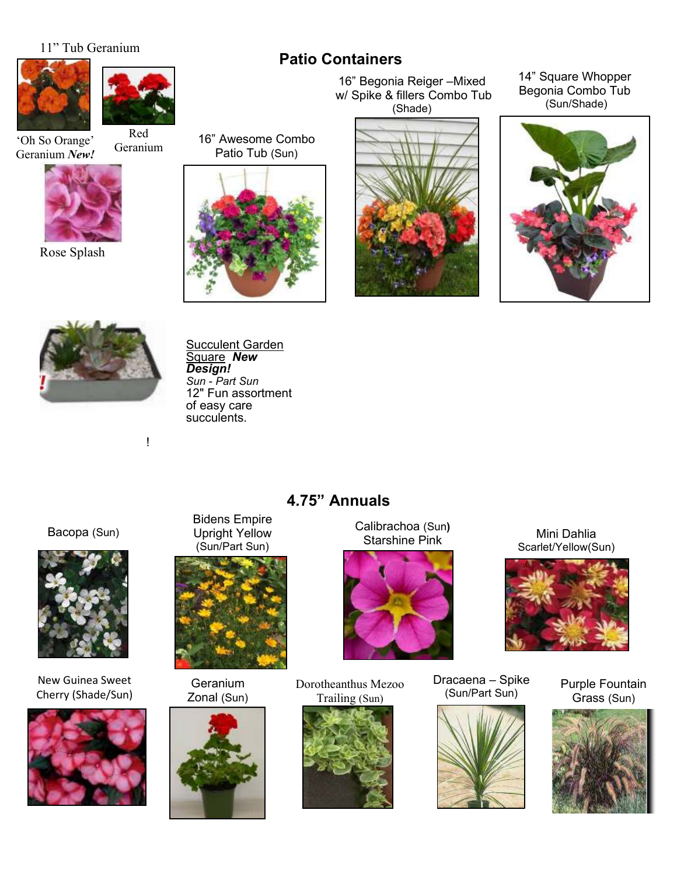#### 11" Tub Geranium





Red

'Oh So Orange' Geranium *New!*



Rose Splash

16" Awesome Combo Patio Tub (Sun) Geranium



16" Begonia Reiger –Mixed w/ Spike & fillers Combo Tub (Shade)

**Patio Containers**



14" Square Whopper Begonia Combo Tub (Sun/Shade)





!

<u>Succulent Garden</u> Square *New Design! Sun - Part Sun* 12" Fun assortment of easy care succulents.

# **4.75" Annuals**

Bacopa (Sun)



New Guinea Sweet Cherry (Shade/Sun)



Bidens Empire Upright Yellow (Sun/Part Sun)



**Geranium** Zonal (Sun)



Calibrachoa (Sun**)** Starshine Pink



Dorotheanthus Mezoo Trailing (Sun)



Dracaena – Spike (Sun/Part Sun)



Mini Dahlia Scarlet/Yellow(Sun)



Purple Fountain Grass (Sun)

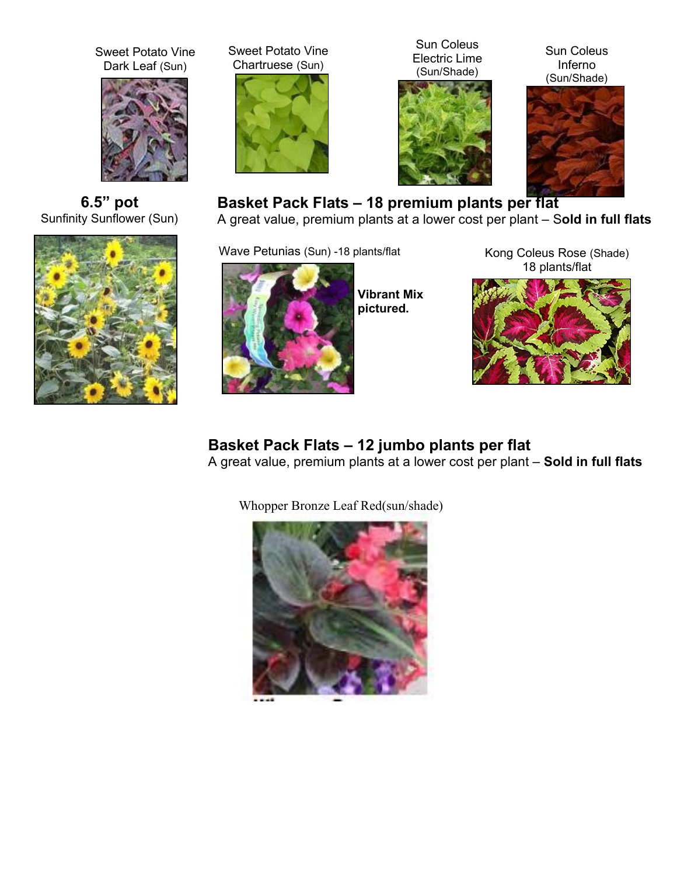Sweet Potato Vine Dark Leaf (Sun)



**6.5" pot**  Sunfinity Sunflower (Sun)



Sweet Potato Vine Chartruese (Sun)



Sun Coleus Electric Lime (Sun/Shade)



Sun Coleus Inferno (Sun/Shade)



# **Basket Pack Flats – 18 premium plants per flat**

A great value, premium plants at a lower cost per plant – S**old in full flats**

Wave Petunias (Sun) -18 plants/flat



**Vibrant Mix pictured.**

Kong Coleus Rose (Shade) 18 plants/flat



# **Basket Pack Flats – 12 jumbo plants per flat**

A great value, premium plants at a lower cost per plant – **Sold in full flats**

Whopper Bronze Leaf Red(sun/shade)

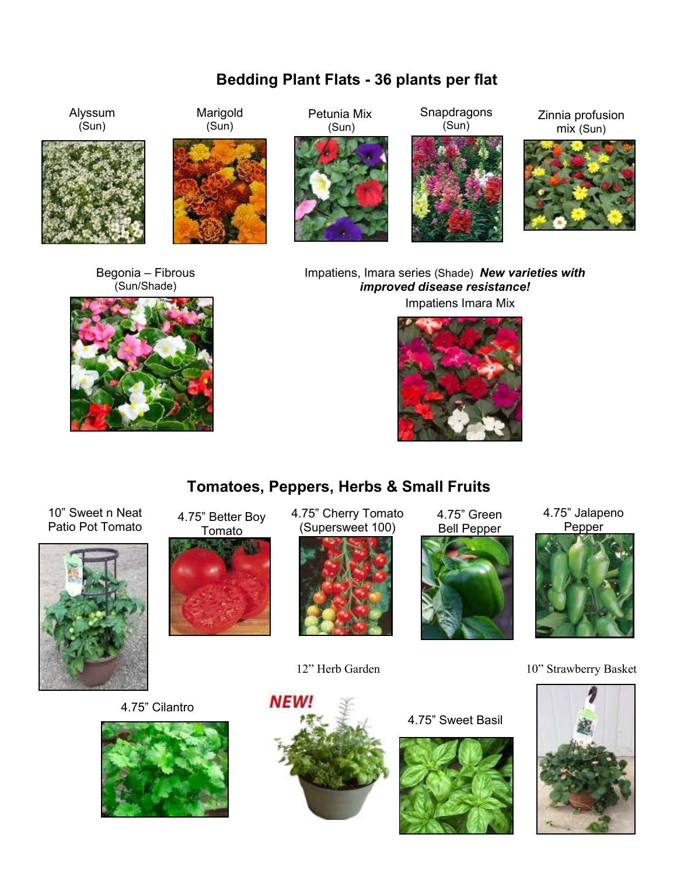# **Bedding Plant Flats - 36 plants per flat**



Begonia – Fibrous (Sun/Shade)



Impatiens, Imara series (Shade) *New varieties with improved disease resistance!*  Impatiens Imara Mix





10" Sweet n Neat Patio Pot Tomato



4.75" Better Boy Tomato



4.75" Cherry Tomato (Supersweet 100)



4.75" Green Bell Pepper



4.75" Jalapeno Pepper



12" Herb Garden 10" Strawberry Basket



4.75" Cilantro





4.75" Sweet Basil